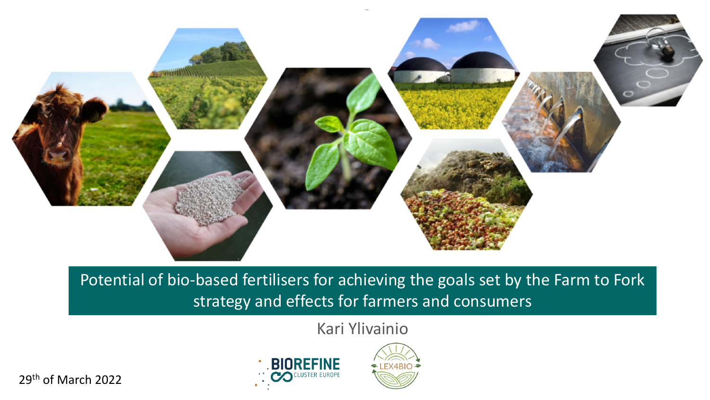

Potential of bio-based fertilisers for achieving the goals set by the Farm to Fork strategy and effects for farmers and consumers

Kari Ylivainio

29th of March 2022



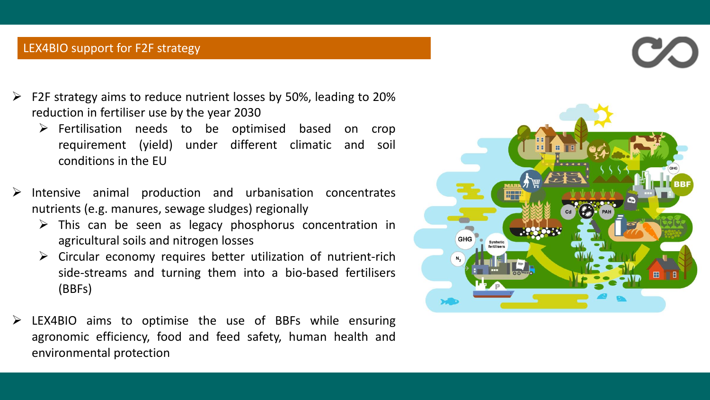### LEX4BIO support for F2F strategy

- $\triangleright$  F2F strategy aims to reduce nutrient losses by 50%, leading to 20% reduction in fertiliser use by the year 2030
	- $\triangleright$  Fertilisation needs to be optimised based on crop requirement (yield) under different climatic and soil conditions in the EU
- $\triangleright$  Intensive animal production and urbanisation concentrates nutrients (e.g. manures, sewage sludges) regionally
	- $\triangleright$  This can be seen as legacy phosphorus concentration in agricultural soils and nitrogen losses
	- $\triangleright$  Circular economy requires better utilization of nutrient-rich side-streams and turning them into a bio-based fertilisers (BBFs)
- $\triangleright$  LEX4BIO aims to optimise the use of BBFs while ensuring agronomic efficiency, food and feed safety, human health and environmental protection

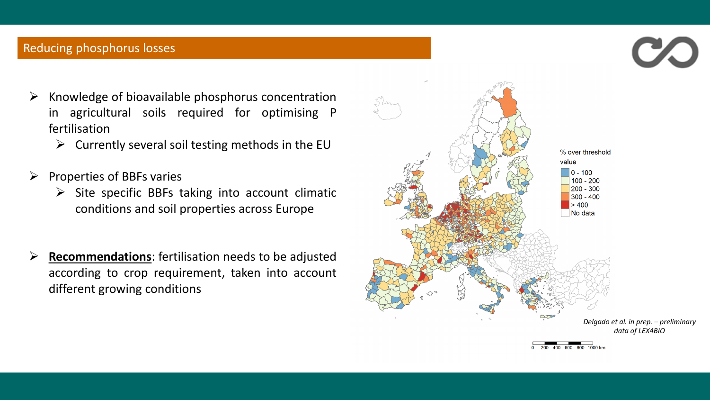# Reducing phosphorus losses

- $\triangleright$  Knowledge of bioavailable phosphorus concentration in agricultural soils required for optimising P fertilisation
	- $\triangleright$  Currently several soil testing methods in the EU
- $\triangleright$  Properties of BBFs varies
	- $\triangleright$  Site specific BBFs taking into account climatic conditions and soil properties across Europe
- ➢ **Recommendations**: fertilisation needs to be adjusted according to crop requirement, taken into account different growing conditions

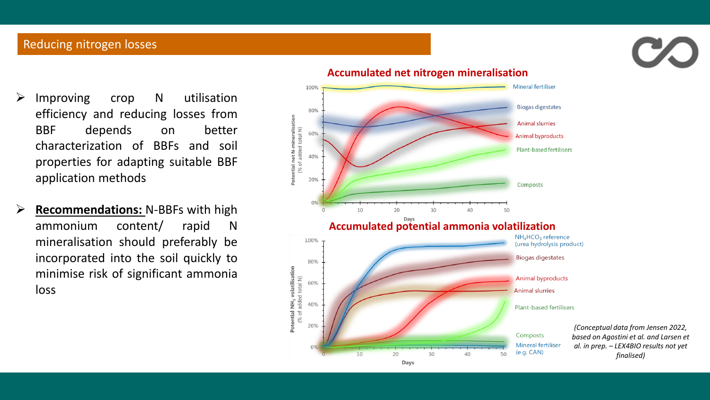# Reducing nitrogen losses



➢ **Recommendations:** N-BBFs with high ammonium content/ rapid N mineralisation should preferably be incorporated into the soil quickly to minimise risk of significant ammonia loss

#### Mineral fertiliser 100% **Biogas digestates** 80% Potential net N-mineralisation<br>(% of added total N) **Animal slurries** 60% **Animal byproducts Plant-based fertilisers** 40% 20% Composts 10 20 30 40 50 **Accumulated potential ammonia volatilization** 100% (urea hydrolysis product) **Biogas digestates** 80% Potential NH<sub>3</sub> volatilisation<br>(% of added total N) **Animal byproducts** 60% **Animal slurries** 40% **Plant-based fertilisers** 209 Composts Mineral fertiliser  $(e.g. CAN)$  $10<sup>°</sup>$ 20 30 40 50 Days

### **Accumulated net nitrogen mineralisation**

*(Conceptual data from Jensen 2022, based on Agostini et al. and Larsen et al. in prep. – LEX4BIO results not yet finalised)*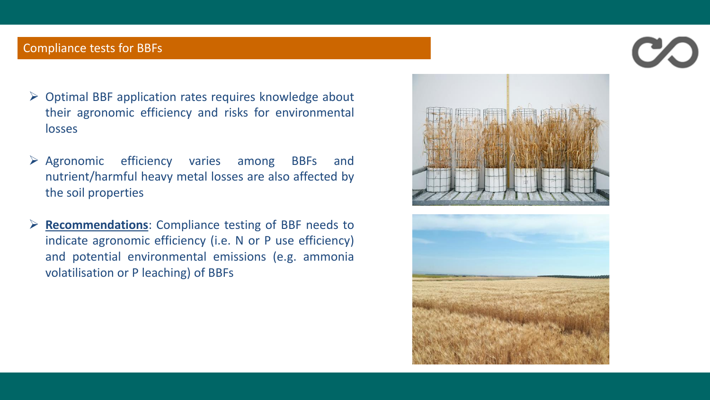## Compliance tests for BBFs

- ➢ Optimal BBF application rates requires knowledge about their agronomic efficiency and risks for environmental losses
- ➢ Agronomic efficiency varies among BBFs and nutrient/harmful heavy metal losses are also affected by the soil properties
- ➢ **Recommendations**: Compliance testing of BBF needs to indicate agronomic efficiency (i.e. N or P use efficiency) and potential environmental emissions (e.g. ammonia volatilisation or P leaching) of BBFs





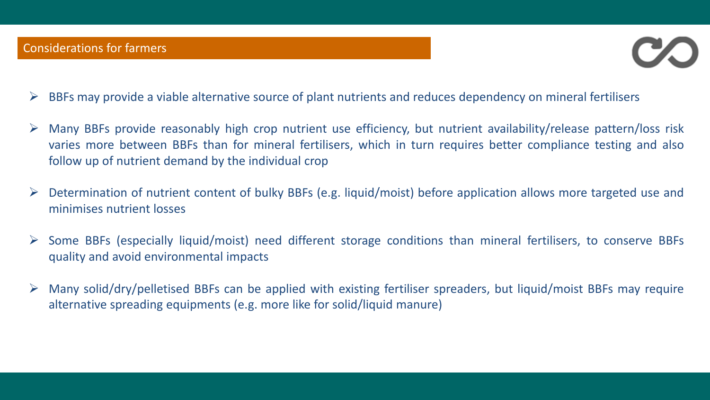

- ➢ BBFs may provide a viable alternative source of plant nutrients and reduces dependency on mineral fertilisers
- ➢ Many BBFs provide reasonably high crop nutrient use efficiency, but nutrient availability/release pattern/loss risk varies more between BBFs than for mineral fertilisers, which in turn requires better compliance testing and also follow up of nutrient demand by the individual crop
- ➢ Determination of nutrient content of bulky BBFs (e.g. liquid/moist) before application allows more targeted use and minimises nutrient losses
- ➢ Some BBFs (especially liquid/moist) need different storage conditions than mineral fertilisers, to conserve BBFs quality and avoid environmental impacts
- ➢ Many solid/dry/pelletised BBFs can be applied with existing fertiliser spreaders, but liquid/moist BBFs may require alternative spreading equipments (e.g. more like for solid/liquid manure)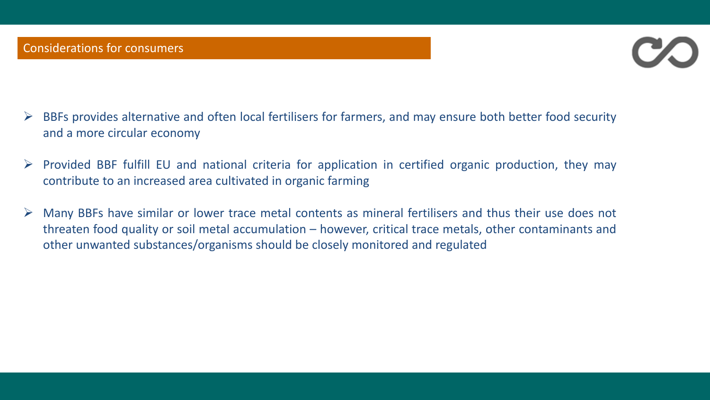

- $\triangleright$  BBFs provides alternative and often local fertilisers for farmers, and may ensure both better food security and a more circular economy
- $\triangleright$  Provided BBF fulfill EU and national criteria for application in certified organic production, they may contribute to an increased area cultivated in organic farming
- $\triangleright$  Many BBFs have similar or lower trace metal contents as mineral fertilisers and thus their use does not threaten food quality or soil metal accumulation – however, critical trace metals, other contaminants and other unwanted substances/organisms should be closely monitored and regulated